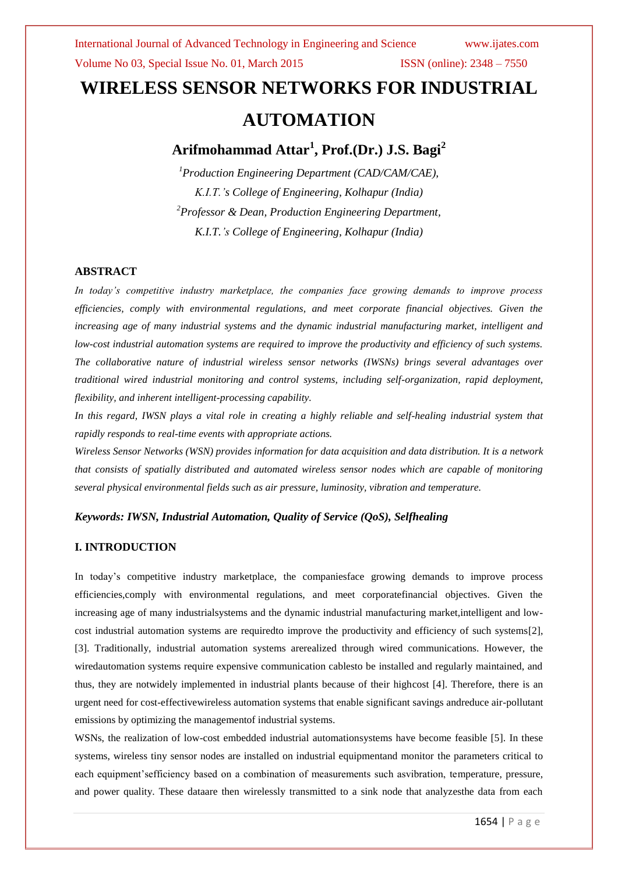Volume No 03, Special Issue No. 01, March 2015 **ISSN** (online): 2348 – 7550

# **WIRELESS SENSOR NETWORKS FOR INDUSTRIAL AUTOMATION**

# **Arifmohammad Attar<sup>1</sup> , Prof.(Dr.) J.S. Bagi<sup>2</sup>**

*<sup>1</sup>Production Engineering Department (CAD/CAM/CAE), K.I.T.'s College of Engineering, Kolhapur (India) <sup>2</sup>Professor & Dean, Production Engineering Department, K.I.T.'s College of Engineering, Kolhapur (India)*

### **ABSTRACT**

*In today's competitive industry marketplace, the companies face growing demands to improve process efficiencies, comply with environmental regulations, and meet corporate financial objectives. Given the increasing age of many industrial systems and the dynamic industrial manufacturing market, intelligent and low-cost industrial automation systems are required to improve the productivity and efficiency of such systems. The collaborative nature of industrial wireless sensor networks (IWSNs) brings several advantages over traditional wired industrial monitoring and control systems, including self-organization, rapid deployment, flexibility, and inherent intelligent-processing capability.*

*In this regard, IWSN plays a vital role in creating a highly reliable and self-healing industrial system that rapidly responds to real-time events with appropriate actions.* 

*Wireless Sensor Networks (WSN) provides information for data acquisition and data distribution. It is a network that consists of spatially distributed and automated wireless sensor nodes which are capable of monitoring several physical environmental fields such as air pressure, luminosity, vibration and temperature.*

### *Keywords: IWSN, Industrial Automation, Quality of Service (QoS), Selfhealing*

### **I. INTRODUCTION**

In today's competitive industry marketplace, the companiesface growing demands to improve process efficiencies,comply with environmental regulations, and meet corporatefinancial objectives. Given the increasing age of many industrialsystems and the dynamic industrial manufacturing market,intelligent and lowcost industrial automation systems are requiredto improve the productivity and efficiency of such systems[2], [3]. Traditionally, industrial automation systems arerealized through wired communications. However, the wiredautomation systems require expensive communication cablesto be installed and regularly maintained, and thus, they are notwidely implemented in industrial plants because of their highcost [4]. Therefore, there is an urgent need for cost-effectivewireless automation systems that enable significant savings andreduce air-pollutant emissions by optimizing the managementof industrial systems.

WSNs, the realization of low-cost embedded industrial automationsystems have become feasible [5]. In these systems, wireless tiny sensor nodes are installed on industrial equipmentand monitor the parameters critical to each equipment'sefficiency based on a combination of measurements such asvibration, temperature, pressure, and power quality. These dataare then wirelessly transmitted to a sink node that analyzesthe data from each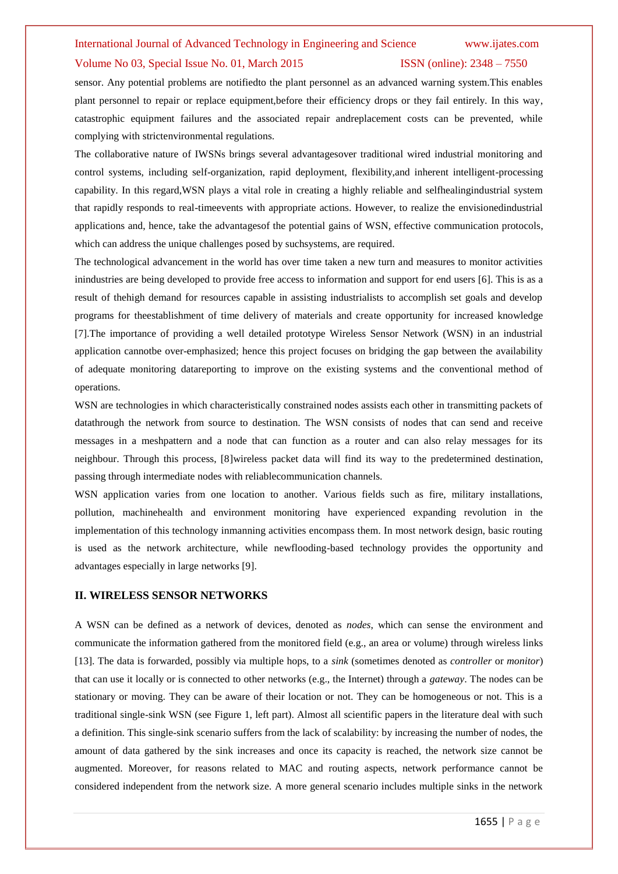#### Volume No 03, Special Issue No. 01, March 2015 **ISSN** (online): 2348 – 7550

sensor. Any potential problems are notifiedto the plant personnel as an advanced warning system.This enables plant personnel to repair or replace equipment,before their efficiency drops or they fail entirely. In this way, catastrophic equipment failures and the associated repair andreplacement costs can be prevented, while complying with strictenvironmental regulations.

The collaborative nature of IWSNs brings several advantagesover traditional wired industrial monitoring and control systems, including self-organization, rapid deployment, flexibility,and inherent intelligent-processing capability. In this regard,WSN plays a vital role in creating a highly reliable and selfhealingindustrial system that rapidly responds to real-timeevents with appropriate actions. However, to realize the envisionedindustrial applications and, hence, take the advantagesof the potential gains of WSN, effective communication protocols, which can address the unique challenges posed by suchsystems, are required.

The technological advancement in the world has over time taken a new turn and measures to monitor activities inindustries are being developed to provide free access to information and support for end users [6]. This is as a result of thehigh demand for resources capable in assisting industrialists to accomplish set goals and develop programs for theestablishment of time delivery of materials and create opportunity for increased knowledge [7].The importance of providing a well detailed prototype Wireless Sensor Network (WSN) in an industrial application cannotbe over-emphasized; hence this project focuses on bridging the gap between the availability of adequate monitoring datareporting to improve on the existing systems and the conventional method of operations.

WSN are technologies in which characteristically constrained nodes assists each other in transmitting packets of datathrough the network from source to destination. The WSN consists of nodes that can send and receive messages in a meshpattern and a node that can function as a router and can also relay messages for its neighbour. Through this process, [8]wireless packet data will find its way to the predetermined destination, passing through intermediate nodes with reliablecommunication channels.

WSN application varies from one location to another. Various fields such as fire, military installations, pollution, machinehealth and environment monitoring have experienced expanding revolution in the implementation of this technology inmanning activities encompass them. In most network design, basic routing is used as the network architecture, while newflooding-based technology provides the opportunity and advantages especially in large networks [9].

### **II. WIRELESS SENSOR NETWORKS**

A WSN can be defined as a network of devices, denoted as *nodes*, which can sense the environment and communicate the information gathered from the monitored field (e.g., an area or volume) through wireless links [13]. The data is forwarded, possibly via multiple hops, to a *sink* (sometimes denoted as *controller* or *monitor*) that can use it locally or is connected to other networks (e.g., the Internet) through a *gateway*. The nodes can be stationary or moving. They can be aware of their location or not. They can be homogeneous or not. This is a traditional single-sink WSN (see Figure 1, left part). Almost all scientific papers in the literature deal with such a definition. This single-sink scenario suffers from the lack of scalability: by increasing the number of nodes, the amount of data gathered by the sink increases and once its capacity is reached, the network size cannot be augmented. Moreover, for reasons related to MAC and routing aspects, network performance cannot be considered independent from the network size. A more general scenario includes multiple sinks in the network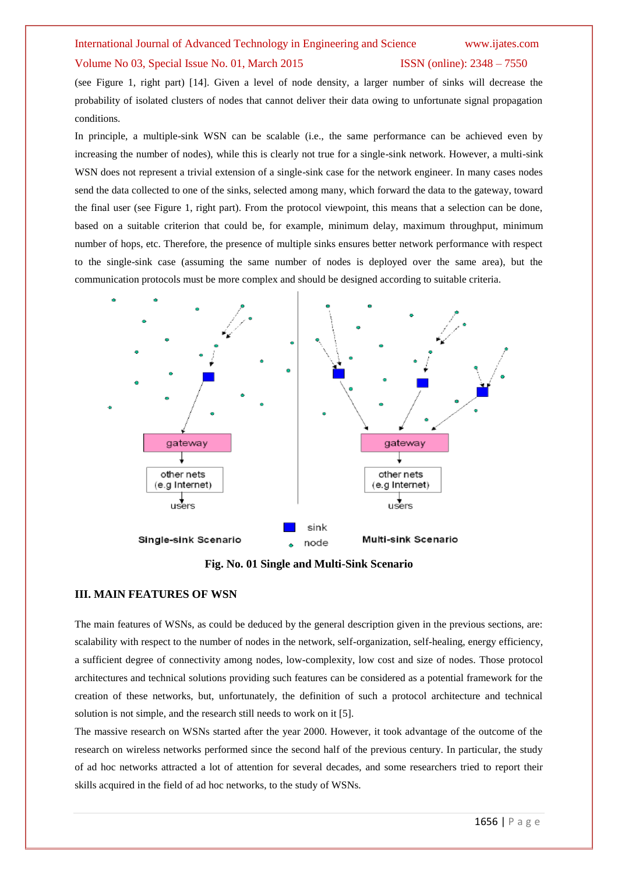#### Volume No 03, Special Issue No. 01, March 2015 ISSN (online): 2348 – 7550

(see Figure 1, right part) [14]. Given a level of node density, a larger number of sinks will decrease the probability of isolated clusters of nodes that cannot deliver their data owing to unfortunate signal propagation conditions.

In principle, a multiple-sink WSN can be scalable (i.e., the same performance can be achieved even by increasing the number of nodes), while this is clearly not true for a single-sink network. However, a multi-sink WSN does not represent a trivial extension of a single-sink case for the network engineer. In many cases nodes send the data collected to one of the sinks, selected among many, which forward the data to the gateway, toward the final user (see Figure 1, right part). From the protocol viewpoint, this means that a selection can be done, based on a suitable criterion that could be, for example, minimum delay, maximum throughput, minimum number of hops, etc. Therefore, the presence of multiple sinks ensures better network performance with respect to the single-sink case (assuming the same number of nodes is deployed over the same area), but the communication protocols must be more complex and should be designed according to suitable criteria.



**Fig. No. 01 Single and Multi-Sink Scenario**

#### **III. MAIN FEATURES OF WSN**

The main features of WSNs, as could be deduced by the general description given in the previous sections, are: scalability with respect to the number of nodes in the network, self-organization, self-healing, energy efficiency, a sufficient degree of connectivity among nodes, low-complexity, low cost and size of nodes. Those protocol architectures and technical solutions providing such features can be considered as a potential framework for the creation of these networks, but, unfortunately, the definition of such a protocol architecture and technical solution is not simple, and the research still needs to work on it [5].

The massive research on WSNs started after the year 2000. However, it took advantage of the outcome of the research on wireless networks performed since the second half of the previous century. In particular, the study of ad hoc networks attracted a lot of attention for several decades, and some researchers tried to report their skills acquired in the field of ad hoc networks, to the study of WSNs.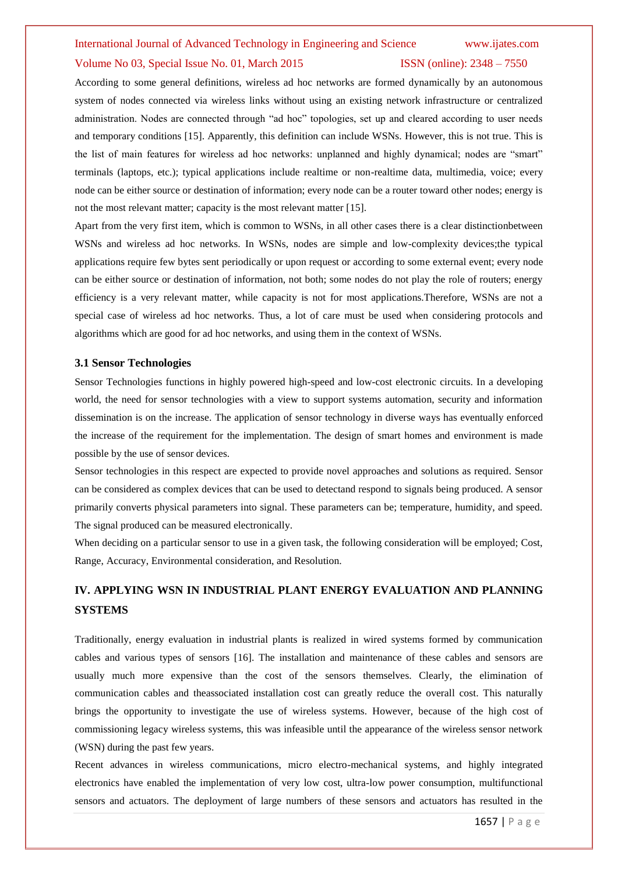#### Volume No 03, Special Issue No. 01, March 2015 **ISSN** (online): 2348 – 7550

According to some general definitions, wireless ad hoc networks are formed dynamically by an autonomous system of nodes connected via wireless links without using an existing network infrastructure or centralized administration. Nodes are connected through "ad hoc" topologies, set up and cleared according to user needs and temporary conditions [15]. Apparently, this definition can include WSNs. However, this is not true. This is the list of main features for wireless ad hoc networks: unplanned and highly dynamical; nodes are "smart" terminals (laptops, etc.); typical applications include realtime or non-realtime data, multimedia, voice; every node can be either source or destination of information; every node can be a router toward other nodes; energy is not the most relevant matter; capacity is the most relevant matter [15].

Apart from the very first item, which is common to WSNs, in all other cases there is a clear distinctionbetween WSNs and wireless ad hoc networks. In WSNs, nodes are simple and low-complexity devices;the typical applications require few bytes sent periodically or upon request or according to some external event; every node can be either source or destination of information, not both; some nodes do not play the role of routers; energy efficiency is a very relevant matter, while capacity is not for most applications.Therefore, WSNs are not a special case of wireless ad hoc networks. Thus, a lot of care must be used when considering protocols and algorithms which are good for ad hoc networks, and using them in the context of WSNs.

#### **3.1 Sensor Technologies**

Sensor Technologies functions in highly powered high-speed and low-cost electronic circuits. In a developing world, the need for sensor technologies with a view to support systems automation, security and information dissemination is on the increase. The application of sensor technology in diverse ways has eventually enforced the increase of the requirement for the implementation. The design of smart homes and environment is made possible by the use of sensor devices.

Sensor technologies in this respect are expected to provide novel approaches and solutions as required. Sensor can be considered as complex devices that can be used to detectand respond to signals being produced. A sensor primarily converts physical parameters into signal. These parameters can be; temperature, humidity, and speed. The signal produced can be measured electronically.

When deciding on a particular sensor to use in a given task, the following consideration will be employed; Cost, Range, Accuracy, Environmental consideration, and Resolution.

## **IV. APPLYING WSN IN INDUSTRIAL PLANT ENERGY EVALUATION AND PLANNING SYSTEMS**

Traditionally, energy evaluation in industrial plants is realized in wired systems formed by communication cables and various types of sensors [16]. The installation and maintenance of these cables and sensors are usually much more expensive than the cost of the sensors themselves. Clearly, the elimination of communication cables and theassociated installation cost can greatly reduce the overall cost. This naturally brings the opportunity to investigate the use of wireless systems. However, because of the high cost of commissioning legacy wireless systems, this was infeasible until the appearance of the wireless sensor network (WSN) during the past few years.

Recent advances in wireless communications, micro electro-mechanical systems, and highly integrated electronics have enabled the implementation of very low cost, ultra-low power consumption, multifunctional sensors and actuators. The deployment of large numbers of these sensors and actuators has resulted in the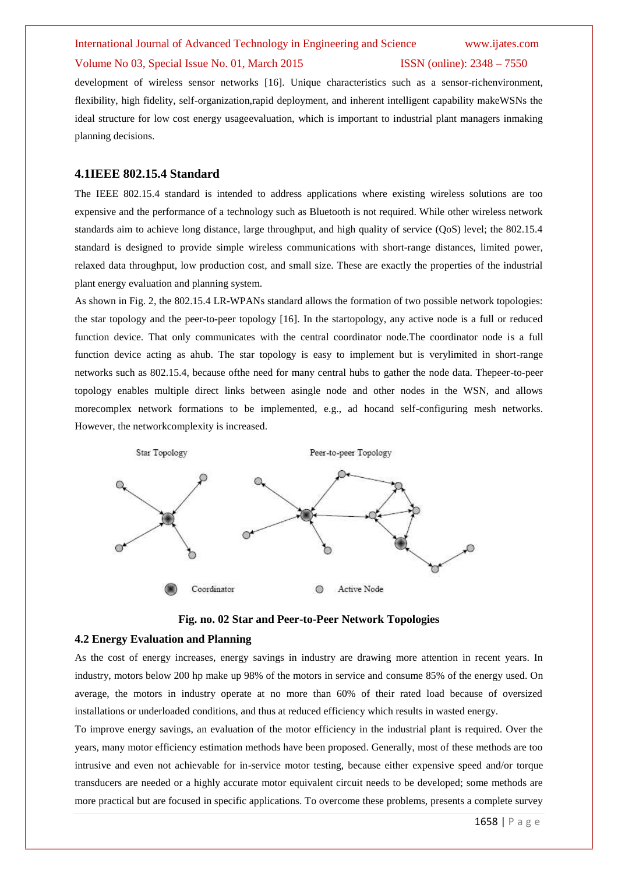#### Volume No 03, Special Issue No. 01, March 2015 **ISSN** (online): 2348 – 7550

development of wireless sensor networks [16]. Unique characteristics such as a sensor-richenvironment, flexibility, high fidelity, self-organization,rapid deployment, and inherent intelligent capability makeWSNs the ideal structure for low cost energy usageevaluation, which is important to industrial plant managers inmaking planning decisions.

#### **4.1IEEE 802.15.4 Standard**

The IEEE 802.15.4 standard is intended to address applications where existing wireless solutions are too expensive and the performance of a technology such as Bluetooth is not required. While other wireless network standards aim to achieve long distance, large throughput, and high quality of service (QoS) level; the 802.15.4 standard is designed to provide simple wireless communications with short-range distances, limited power, relaxed data throughput, low production cost, and small size. These are exactly the properties of the industrial plant energy evaluation and planning system.

As shown in Fig. 2, the 802.15.4 LR-WPANs standard allows the formation of two possible network topologies: the star topology and the peer-to-peer topology [16]. In the startopology, any active node is a full or reduced function device. That only communicates with the central coordinator node.The coordinator node is a full function device acting as ahub. The star topology is easy to implement but is verylimited in short-range networks such as 802.15.4, because ofthe need for many central hubs to gather the node data. Thepeer-to-peer topology enables multiple direct links between asingle node and other nodes in the WSN, and allows morecomplex network formations to be implemented, e.g., ad hocand self-configuring mesh networks. However, the networkcomplexity is increased.





#### **4.2 Energy Evaluation and Planning**

As the cost of energy increases, energy savings in industry are drawing more attention in recent years. In industry, motors below 200 hp make up 98% of the motors in service and consume 85% of the energy used. On average, the motors in industry operate at no more than 60% of their rated load because of oversized installations or underloaded conditions, and thus at reduced efficiency which results in wasted energy.

To improve energy savings, an evaluation of the motor efficiency in the industrial plant is required. Over the years, many motor efficiency estimation methods have been proposed. Generally, most of these methods are too intrusive and even not achievable for in-service motor testing, because either expensive speed and/or torque transducers are needed or a highly accurate motor equivalent circuit needs to be developed; some methods are more practical but are focused in specific applications. To overcome these problems, presents a complete survey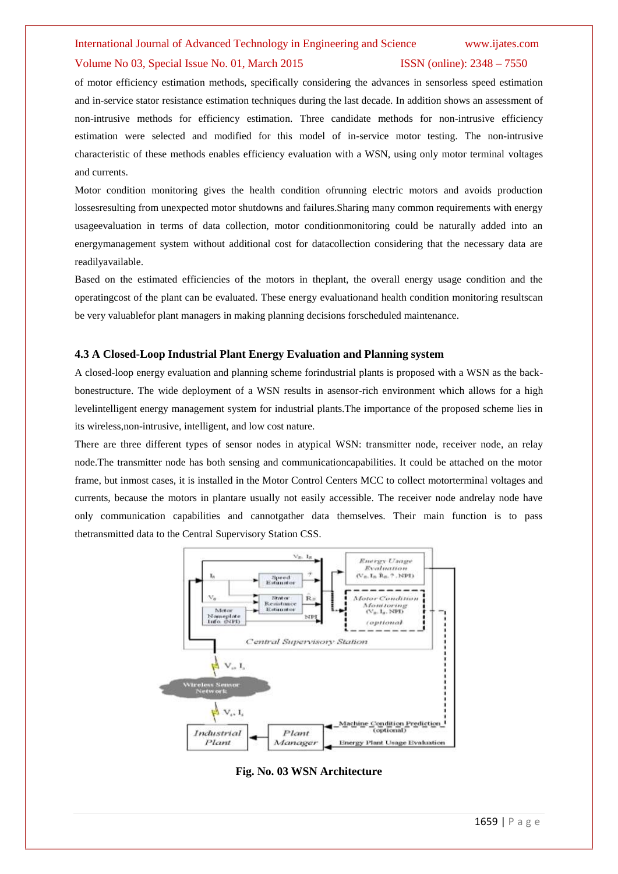#### Volume No 03, Special Issue No. 01, March 2015 **ISSN** (online): 2348 – 7550

of motor efficiency estimation methods, specifically considering the advances in sensorless speed estimation and in-service stator resistance estimation techniques during the last decade. In addition shows an assessment of non-intrusive methods for efficiency estimation. Three candidate methods for non-intrusive efficiency estimation were selected and modified for this model of in-service motor testing. The non-intrusive characteristic of these methods enables efficiency evaluation with a WSN, using only motor terminal voltages and currents.

Motor condition monitoring gives the health condition ofrunning electric motors and avoids production lossesresulting from unexpected motor shutdowns and failures.Sharing many common requirements with energy usageevaluation in terms of data collection, motor conditionmonitoring could be naturally added into an energymanagement system without additional cost for datacollection considering that the necessary data are readilyavailable.

Based on the estimated efficiencies of the motors in theplant, the overall energy usage condition and the operatingcost of the plant can be evaluated. These energy evaluationand health condition monitoring resultscan be very valuablefor plant managers in making planning decisions forscheduled maintenance.

#### **4.3 A Closed-Loop Industrial Plant Energy Evaluation and Planning system**

A closed-loop energy evaluation and planning scheme forindustrial plants is proposed with a WSN as the backbonestructure. The wide deployment of a WSN results in asensor-rich environment which allows for a high levelintelligent energy management system for industrial plants.The importance of the proposed scheme lies in its wireless,non-intrusive, intelligent, and low cost nature.

There are three different types of sensor nodes in atypical WSN: transmitter node, receiver node, an relay node.The transmitter node has both sensing and communicationcapabilities. It could be attached on the motor frame, but inmost cases, it is installed in the Motor Control Centers MCC to collect motorterminal voltages and currents, because the motors in plantare usually not easily accessible. The receiver node andrelay node have only communication capabilities and cannotgather data themselves. Their main function is to pass thetransmitted data to the Central Supervisory Station CSS.



**Fig. No. 03 WSN Architecture**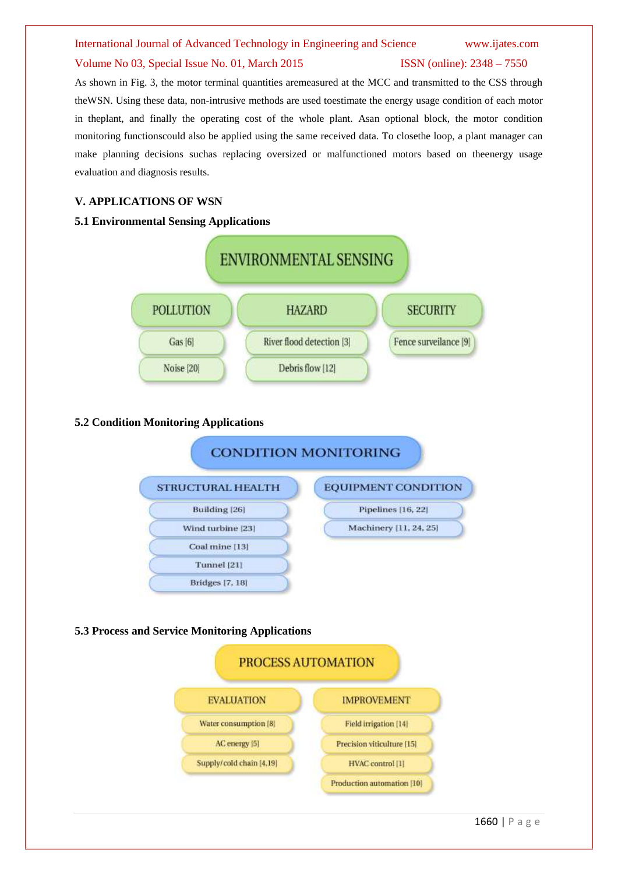### Volume No 03, Special Issue No. 01, March 2015 ISSN (online): 2348 – 7550

As shown in Fig. 3, the motor terminal quantities are measured at the MCC and transmitted to the CSS through theWSN. Using these data, non-intrusive methods are used toestimate the energy usage condition of each motor in theplant, and finally the operating cost of the whole plant. Asan optional block, the motor condition monitoring functionscould also be applied using the same received data. To closethe loop, a plant manager can make planning decisions suchas replacing oversized or malfunctioned motors based on theenergy usage evaluation and diagnosis results.

### **V. APPLICATIONS OF WSN**

### **5.1 Environmental Sensing Applications**



### **5.2 Condition Monitoring Applications**



### **5.3 Process and Service Monitoring Applications**

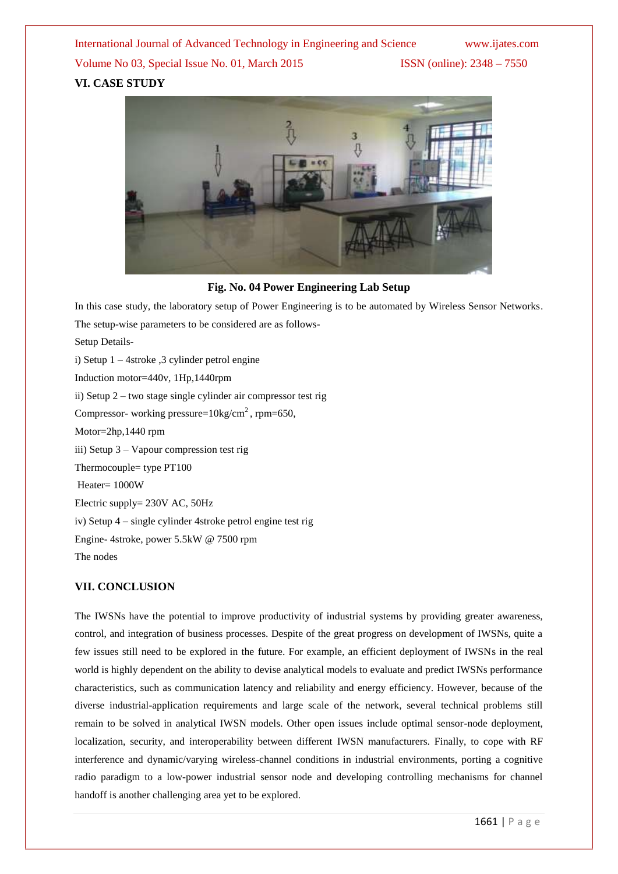International Journal of Advanced Technology in Engineering and Science www.ijates.com Volume No 03, Special Issue No. 01, March 2015 ISSN (online): 2348 – 7550 **VI. CASE STUDY**



**Fig. No. 04 Power Engineering Lab Setup**

In this case study, the laboratory setup of Power Engineering is to be automated by Wireless Sensor Networks. The setup-wise parameters to be considered are as follows-Setup Detailsi) Setup 1 – 4stroke ,3 cylinder petrol engine Induction motor=440v, 1Hp,1440rpm ii) Setup 2 – two stage single cylinder air compressor test rig Compressor- working pressure= $10\text{kg/cm}^2$ , rpm=650, Motor=2hp,1440 rpm iii) Setup 3 – Vapour compression test rig Thermocouple= type PT100 Heater= 1000W Electric supply= 230V AC, 50Hz iv) Setup 4 – single cylinder 4stroke petrol engine test rig Engine- 4stroke, power 5.5kW @ 7500 rpm The nodes

### **VII. CONCLUSION**

The IWSNs have the potential to improve productivity of industrial systems by providing greater awareness, control, and integration of business processes. Despite of the great progress on development of IWSNs, quite a few issues still need to be explored in the future. For example, an efficient deployment of IWSNs in the real world is highly dependent on the ability to devise analytical models to evaluate and predict IWSNs performance characteristics, such as communication latency and reliability and energy efficiency. However, because of the diverse industrial-application requirements and large scale of the network, several technical problems still remain to be solved in analytical IWSN models. Other open issues include optimal sensor-node deployment, localization, security, and interoperability between different IWSN manufacturers. Finally, to cope with RF interference and dynamic/varying wireless-channel conditions in industrial environments, porting a cognitive radio paradigm to a low-power industrial sensor node and developing controlling mechanisms for channel handoff is another challenging area yet to be explored.